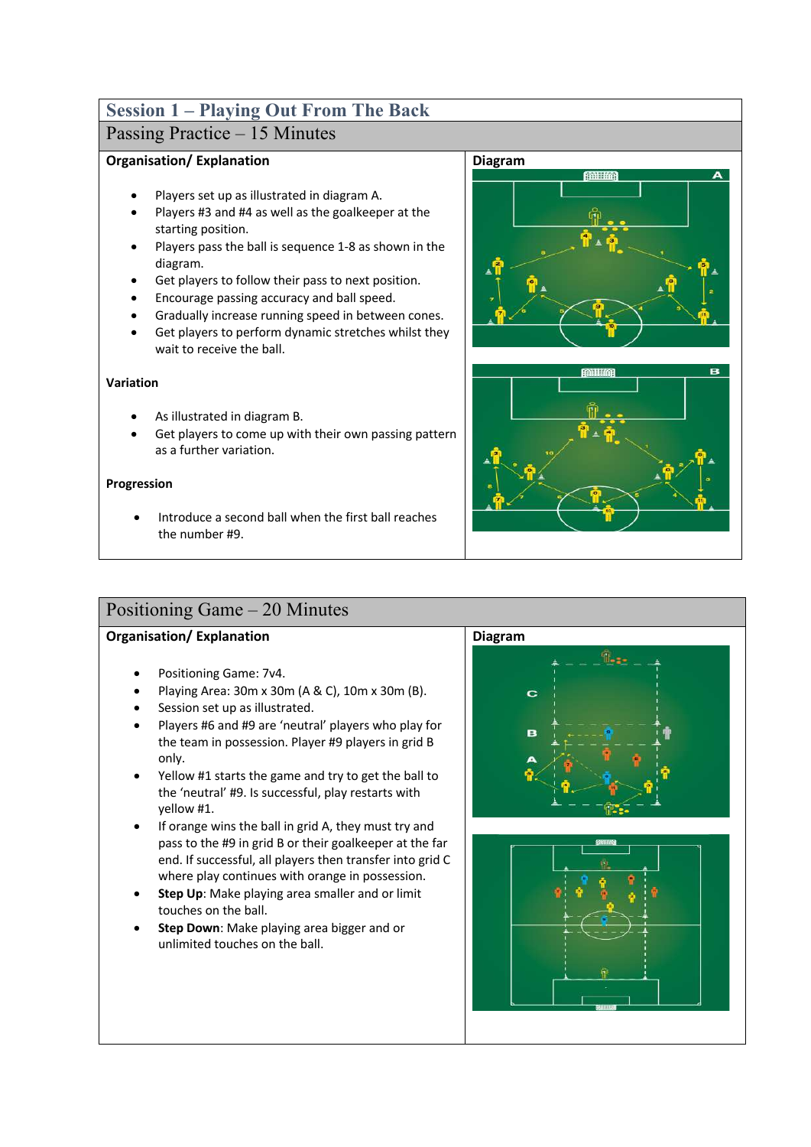# **Session 1 – Playing Out From The Back**

## Passing Practice – 15 Minutes

### **Organisation/ Explanation**

- Players set up as illustrated in diagram A.
- Players #3 and #4 as well as the goalkeeper at the starting position.
- Players pass the ball is sequence 1-8 as shown in the diagram.
- Get players to follow their pass to next position.
- Encourage passing accuracy and ball speed.
- Gradually increase running speed in between cones.
- Get players to perform dynamic stretches whilst they wait to receive the ball.

### **Variation**

- As illustrated in diagram B.
- Get players to come up with their own passing pattern as a further variation.

### **Progression**

• Introduce a second ball when the first ball reaches the number #9.





## Positioning Game – 20 Minutes

- Positioning Game: 7v4.
- Playing Area: 30m x 30m (A & C), 10m x 30m (B).
- Session set up as illustrated.
- Players #6 and #9 are 'neutral' players who play for the team in possession. Player #9 players in grid B only.
- Yellow #1 starts the game and try to get the ball to the 'neutral' #9. Is successful, play restarts with yellow #1.
- If orange wins the ball in grid A, they must try and pass to the #9 in grid B or their goalkeeper at the far end. If successful, all players then transfer into grid C where play continues with orange in possession.
- **Step Up**: Make playing area smaller and or limit touches on the ball.
- **Step Down**: Make playing area bigger and or unlimited touches on the ball.



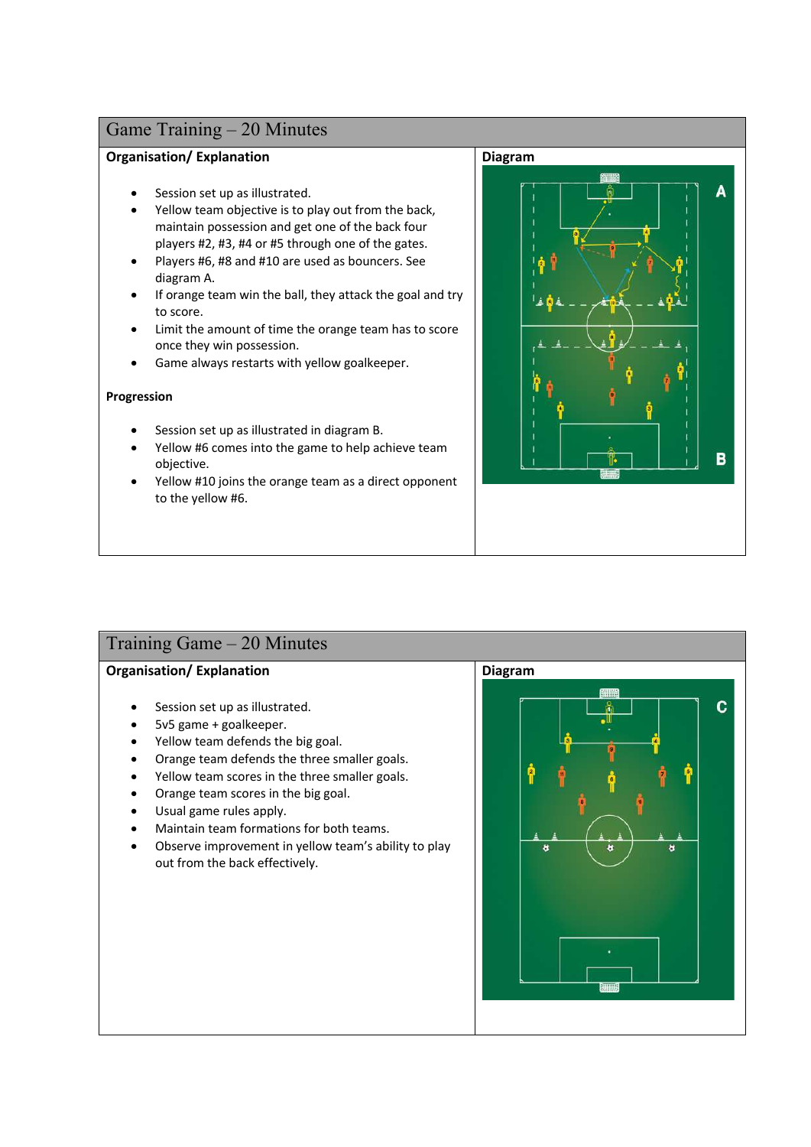### **Organisation/ Explanation**

- Session set up as illustrated.
- Yellow team objective is to play out from the back, maintain possession and get one of the back four players #2, #3, #4 or #5 through one of the gates.
- Players #6, #8 and #10 are used as bouncers. See diagram A.
- If orange team win the ball, they attack the goal and try to score.
- Limit the amount of time the orange team has to score once they win possession.
- Game always restarts with yellow goalkeeper.

### **Progression**

- Session set up as illustrated in diagram B.
- Yellow #6 comes into the game to help achieve team objective.
- Yellow #10 joins the orange team as a direct opponent to the yellow #6.



## Training Game – 20 Minutes

- Session set up as illustrated.
- 5v5 game + goalkeeper.
- Yellow team defends the big goal.
- Orange team defends the three smaller goals.
- Yellow team scores in the three smaller goals.
- Orange team scores in the big goal.
- Usual game rules apply.
- Maintain team formations for both teams.
- Observe improvement in yellow team's ability to play out from the back effectively.

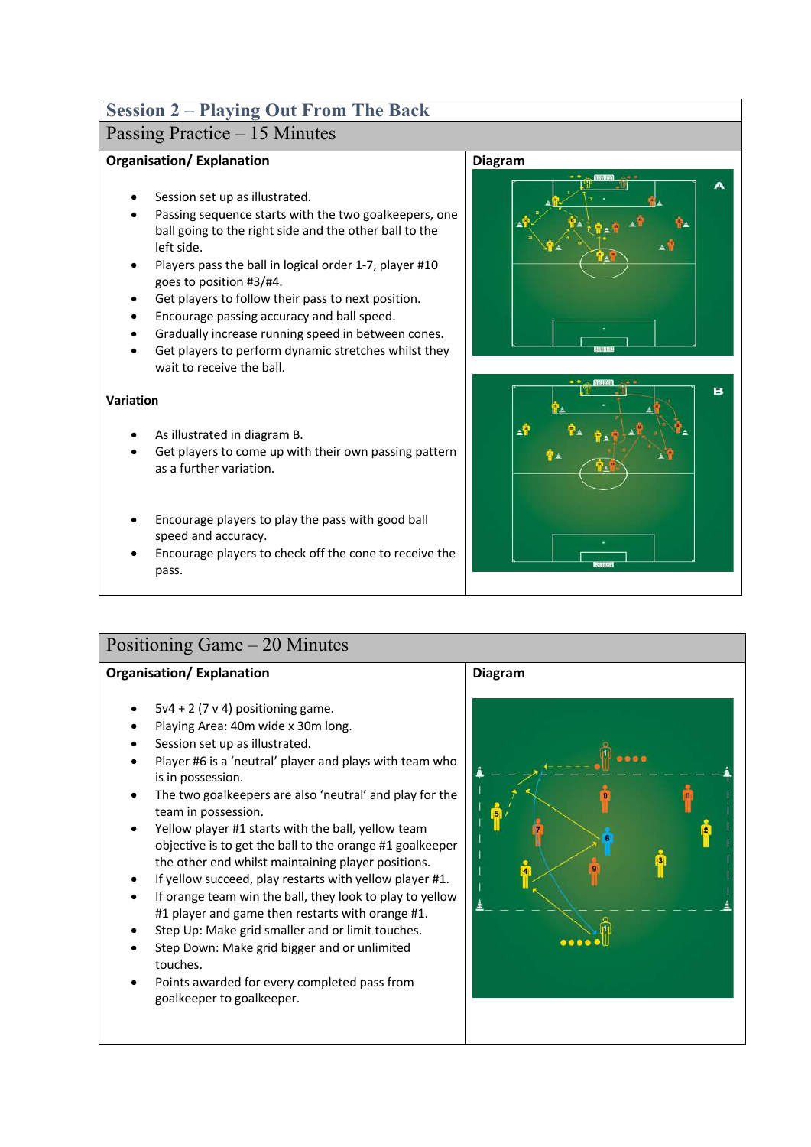# **Session 2 – Playing Out From The Back**

# Passing Practice – 15 Minutes

### **Organisation/ Explanation**

- Session set up as illustrated.
- Passing sequence starts with the two goalkeepers, one ball going to the right side and the other ball to the left side.
- Players pass the ball in logical order 1-7, player #10 goes to position #3/#4.
- Get players to follow their pass to next position.
- Encourage passing accuracy and ball speed.
- Gradually increase running speed in between cones.
- Get players to perform dynamic stretches whilst they wait to receive the ball.

### **Variation**

- As illustrated in diagram B.
- Get players to come up with their own passing pattern as a further variation.
- Encourage players to play the pass with good ball speed and accuracy.
- Encourage players to check off the cone to receive the pass.

## Positioning Game – 20 Minutes

### **Organisation/ Explanation**

- $5v4 + 2(7v4)$  positioning game.
- Playing Area: 40m wide x 30m long.
- Session set up as illustrated.
- Player #6 is a 'neutral' player and plays with team who is in possession.
- The two goalkeepers are also 'neutral' and play for the team in possession.
- Yellow player #1 starts with the ball, yellow team objective is to get the ball to the orange #1 goalkeeper the other end whilst maintaining player positions.
- If yellow succeed, play restarts with yellow player #1.
- If orange team win the ball, they look to play to yellow #1 player and game then restarts with orange #1.
- Step Up: Make grid smaller and or limit touches.
- Step Down: Make grid bigger and or unlimited touches.
- Points awarded for every completed pass from goalkeeper to goalkeeper.

### **Diagram**





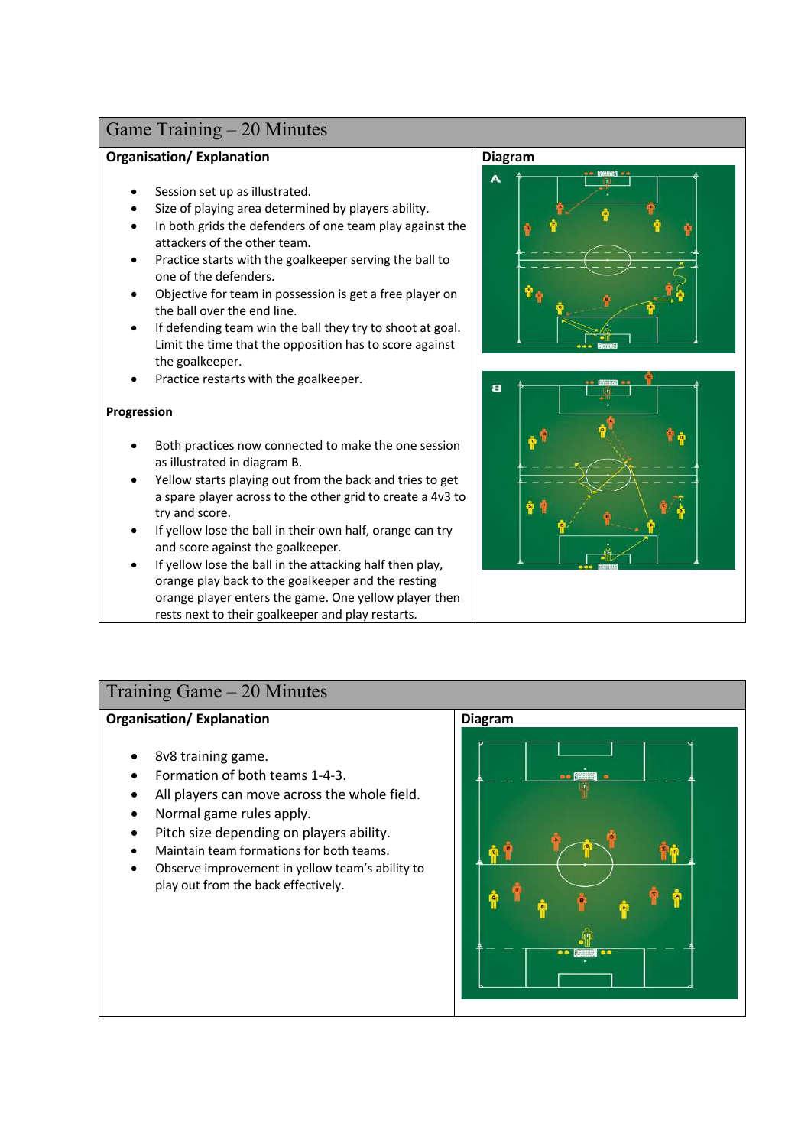### **Organisation/ Explanation**

- Session set up as illustrated.
- Size of playing area determined by players ability.
- In both grids the defenders of one team play against the attackers of the other team.
- Practice starts with the goalkeeper serving the ball to one of the defenders.
- Objective for team in possession is get a free player on the ball over the end line.
- If defending team win the ball they try to shoot at goal. Limit the time that the opposition has to score against the goalkeeper.
- Practice restarts with the goalkeeper.

### **Progression**

- Both practices now connected to make the one session as illustrated in diagram B.
- Yellow starts playing out from the back and tries to get a spare player across to the other grid to create a 4v3 to try and score.
- If yellow lose the ball in their own half, orange can try and score against the goalkeeper.
- If yellow lose the ball in the attacking half then play, orange play back to the goalkeeper and the resting orange player enters the game. One yellow player then rests next to their goalkeeper and play restarts.

#### **Diagram**





### Training Game – 20 Minutes

- 8v8 training game.
- Formation of both teams 1-4-3.
- All players can move across the whole field.
- Normal game rules apply.
- Pitch size depending on players ability.
- Maintain team formations for both teams.
- Observe improvement in yellow team's ability to play out from the back effectively.

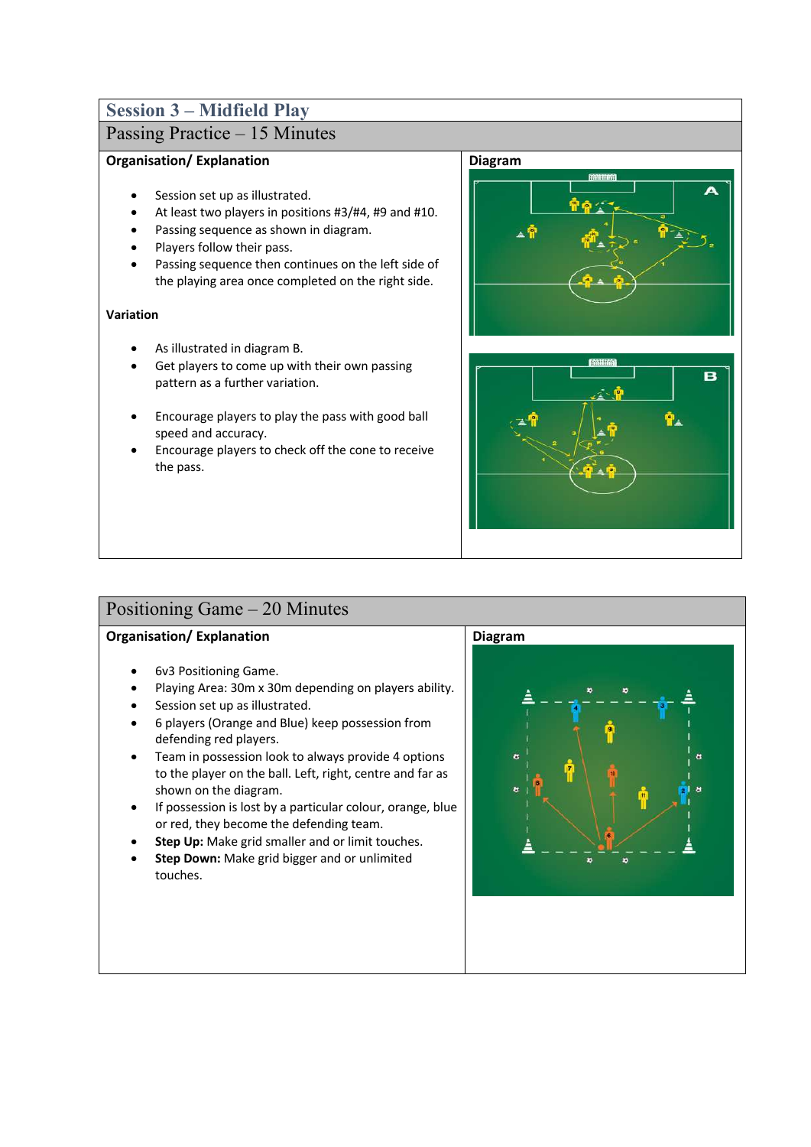## **Session 3 – Midfield Play**

# Passing Practice – 15 Minutes

### **Organisation/ Explanation**

- Session set up as illustrated.
- At least two players in positions #3/#4, #9 and #10.
- Passing sequence as shown in diagram.
- Players follow their pass.
- Passing sequence then continues on the left side of the playing area once completed on the right side.

### **Variation**

- As illustrated in diagram B.
- Get players to come up with their own passing pattern as a further variation.
- Encourage players to play the pass with good ball speed and accuracy.
- Encourage players to check off the cone to receive the pass.





## Positioning Game – 20 Minutes

- 6v3 Positioning Game.
- Playing Area: 30m x 30m depending on players ability.
- Session set up as illustrated.
- 6 players (Orange and Blue) keep possession from defending red players.
- Team in possession look to always provide 4 options to the player on the ball. Left, right, centre and far as shown on the diagram.
- If possession is lost by a particular colour, orange, blue or red, they become the defending team.
- **Step Up:** Make grid smaller and or limit touches.
- **Step Down:** Make grid bigger and or unlimited touches.

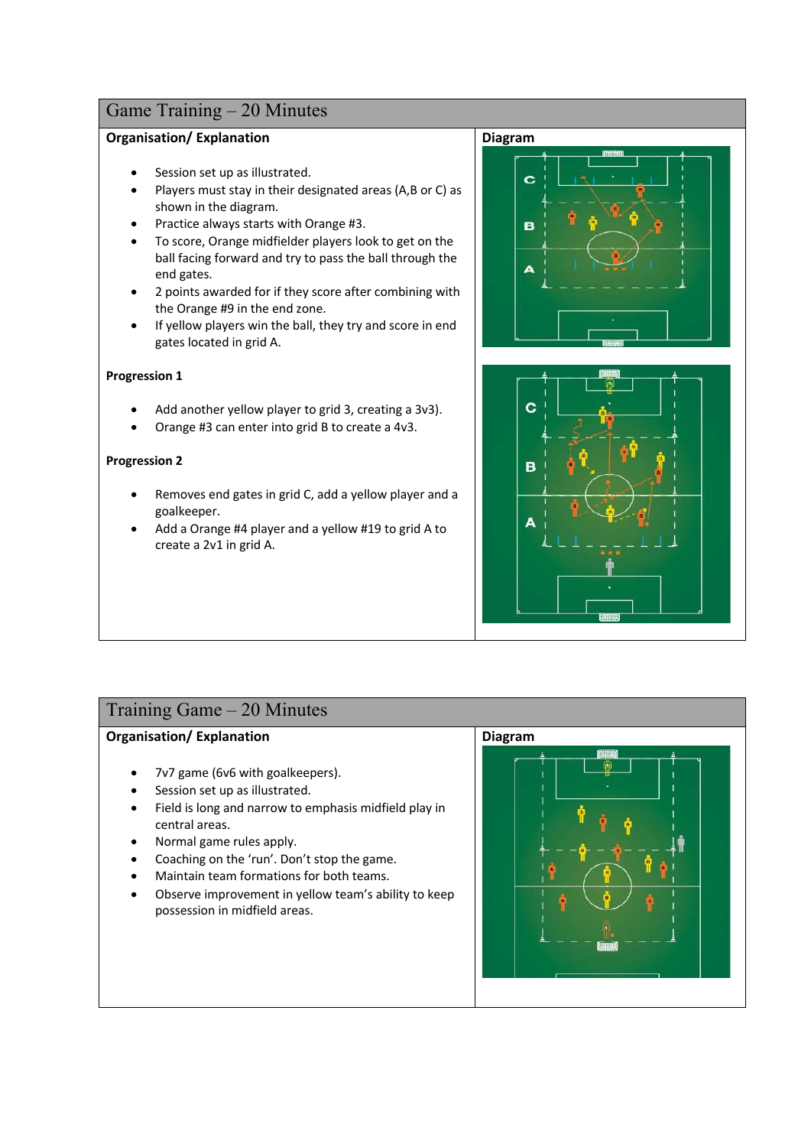### **Organisation/ Explanation**

- Session set up as illustrated.
- Players must stay in their designated areas (A,B or C) as shown in the diagram.
- Practice always starts with Orange #3.
- To score, Orange midfielder players look to get on the ball facing forward and try to pass the ball through the end gates.
- 2 points awarded for if they score after combining with the Orange #9 in the end zone.
- If yellow players win the ball, they try and score in end gates located in grid A.

### **Progression 1**

- Add another yellow player to grid 3, creating a 3v3).
- Orange #3 can enter into grid B to create a 4v3.

### **Progression 2**

- Removes end gates in grid C, add a yellow player and a goalkeeper.
- Add a Orange #4 player and a yellow #19 to grid A to create a 2v1 in grid A.





### Training Game – 20 Minutes

- 7v7 game (6v6 with goalkeepers).
- Session set up as illustrated.
- Field is long and narrow to emphasis midfield play in central areas.
- Normal game rules apply.
- Coaching on the 'run'. Don't stop the game.
- Maintain team formations for both teams.
- Observe improvement in yellow team's ability to keep possession in midfield areas.

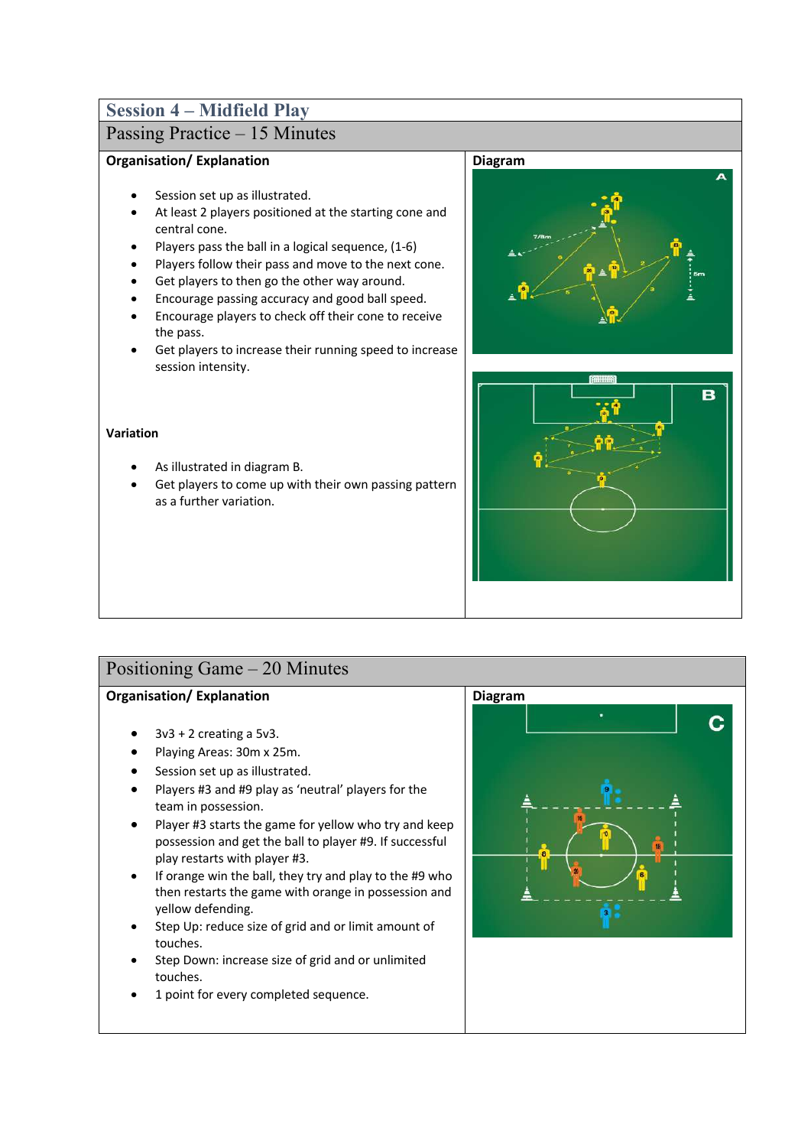## **Session 4 – Midfield Play**

# Passing Practice – 15 Minutes

### **Organisation/ Explanation**

- Session set up as illustrated.
- At least 2 players positioned at the starting cone and central cone.
- Players pass the ball in a logical sequence, (1-6)
- Players follow their pass and move to the next cone.
- Get players to then go the other way around.
- Encourage passing accuracy and good ball speed.
- Encourage players to check off their cone to receive the pass.
- Get players to increase their running speed to increase session intensity.

#### **Variation**

- As illustrated in diagram B.
- Get players to come up with their own passing pattern as a further variation.





### Positioning Game – 20 Minutes

- $3v3 + 2$  creating a  $5v3$ .
- Playing Areas: 30m x 25m.
- Session set up as illustrated.
- Players #3 and #9 play as 'neutral' players for the team in possession.
- Player #3 starts the game for yellow who try and keep possession and get the ball to player #9. If successful play restarts with player #3.
- If orange win the ball, they try and play to the #9 who then restarts the game with orange in possession and yellow defending.
- Step Up: reduce size of grid and or limit amount of touches.
- Step Down: increase size of grid and or unlimited touches.
- 1 point for every completed sequence.

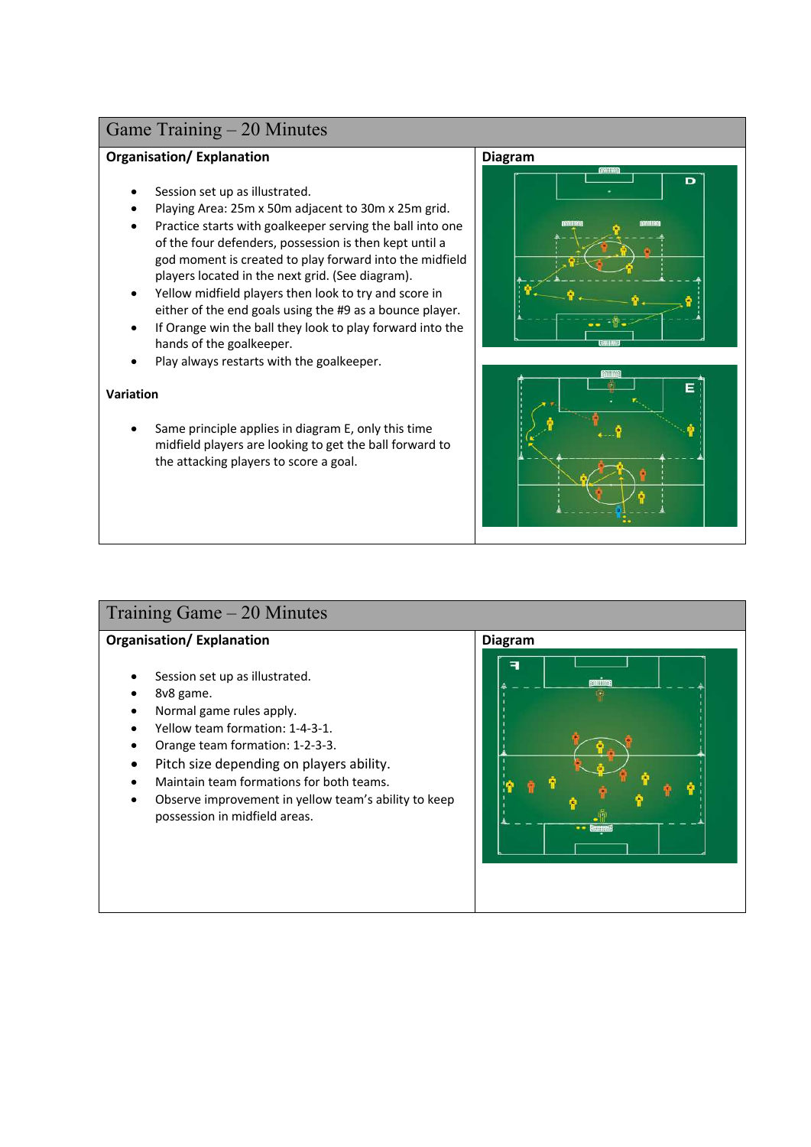### **Organisation/ Explanation**

- Session set up as illustrated.
- Playing Area: 25m x 50m adjacent to 30m x 25m grid.
- Practice starts with goalkeeper serving the ball into one of the four defenders, possession is then kept until a god moment is created to play forward into the midfield players located in the next grid. (See diagram).
- Yellow midfield players then look to try and score in either of the end goals using the #9 as a bounce player.
- If Orange win the ball they look to play forward into the hands of the goalkeeper.
- Play always restarts with the goalkeeper.

### **Variation**

Same principle applies in diagram E, only this time midfield players are looking to get the ball forward to the attacking players to score a goal.





## Training Game – 20 Minutes

- Session set up as illustrated.
- 8v8 game.
- Normal game rules apply.
- Yellow team formation: 1-4-3-1.
- Orange team formation: 1-2-3-3.
- Pitch size depending on players ability.
- Maintain team formations for both teams.
- Observe improvement in yellow team's ability to keep possession in midfield areas.

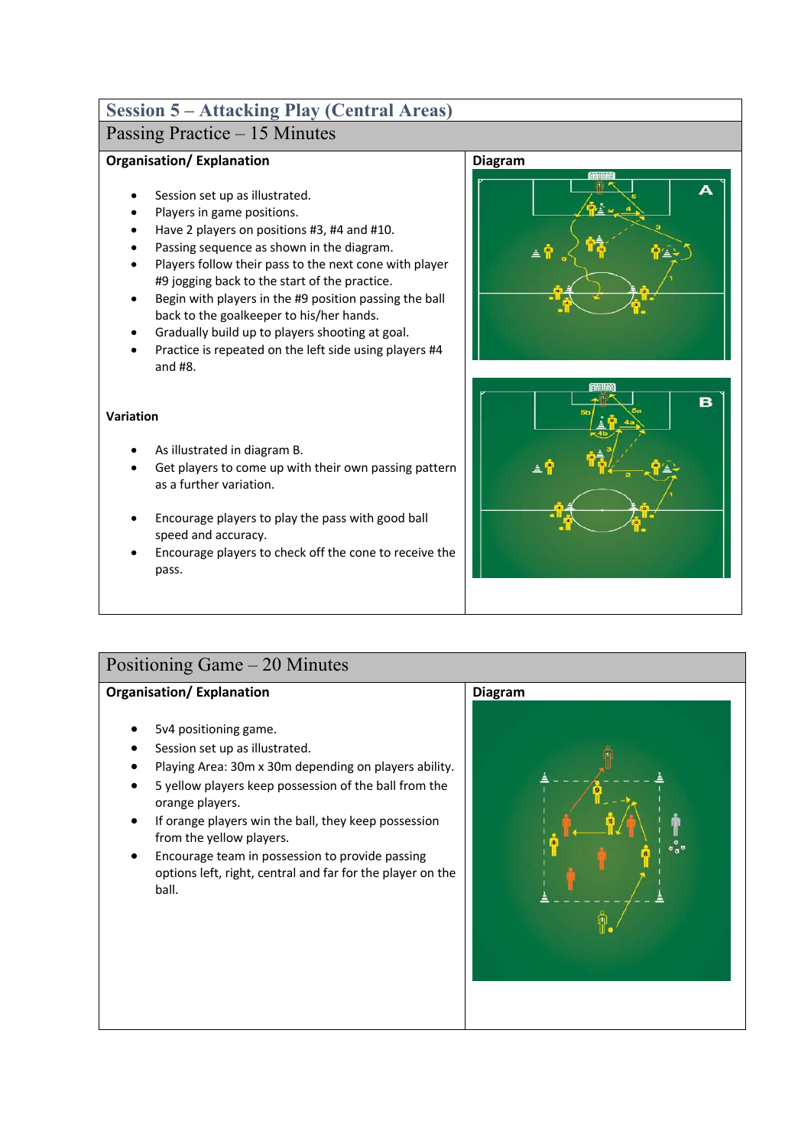# **Session 5 – Attacking Play (Central Areas)**

## Passing Practice – 15 Minutes

### **Organisation/ Explanation**

- Session set up as illustrated.
- Players in game positions.
- Have 2 players on positions #3, #4 and #10.
- Passing sequence as shown in the diagram.
- Players follow their pass to the next cone with player #9 jogging back to the start of the practice.
- Begin with players in the #9 position passing the ball back to the goalkeeper to his/her hands.
- Gradually build up to players shooting at goal.
- Practice is repeated on the left side using players #4 and #8.

### **Variation**

- As illustrated in diagram B.
- Get players to come up with their own passing pattern as a further variation.
- Encourage players to play the pass with good ball speed and accuracy.
- Encourage players to check off the cone to receive the pass.





## Positioning Game – 20 Minutes

- 5v4 positioning game.
- Session set up as illustrated.
- Playing Area: 30m x 30m depending on players ability.
- 5 yellow players keep possession of the ball from the orange players.
- If orange players win the ball, they keep possession from the yellow players.
- Encourage team in possession to provide passing options left, right, central and far for the player on the ball.

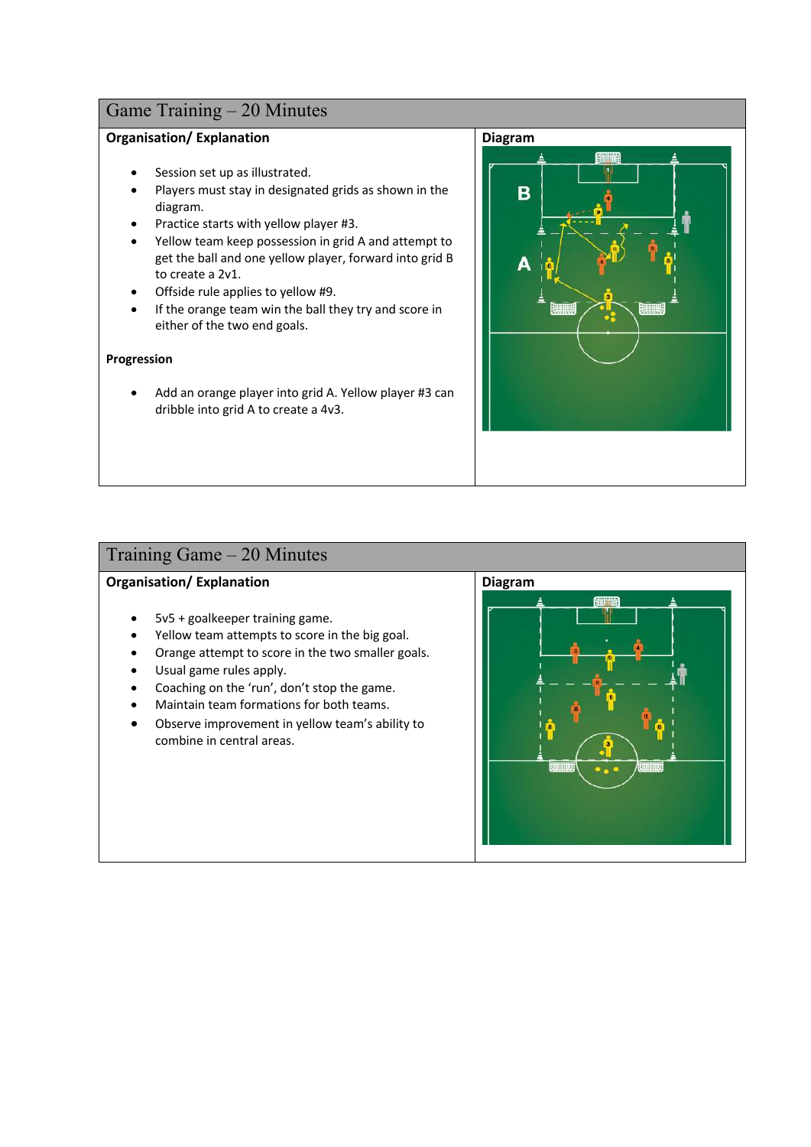### **Organisation/ Explanation**

- Session set up as illustrated.
- Players must stay in designated grids as shown in the diagram.
- Practice starts with yellow player #3.
- Yellow team keep possession in grid A and attempt to get the ball and one yellow player, forward into grid B to create a 2v1.
- Offside rule applies to yellow #9.
- If the orange team win the ball they try and score in either of the two end goals.

#### **Progression**

• Add an orange player into grid A. Yellow player #3 can dribble into grid A to create a 4v3.



## Training Game – 20 Minutes

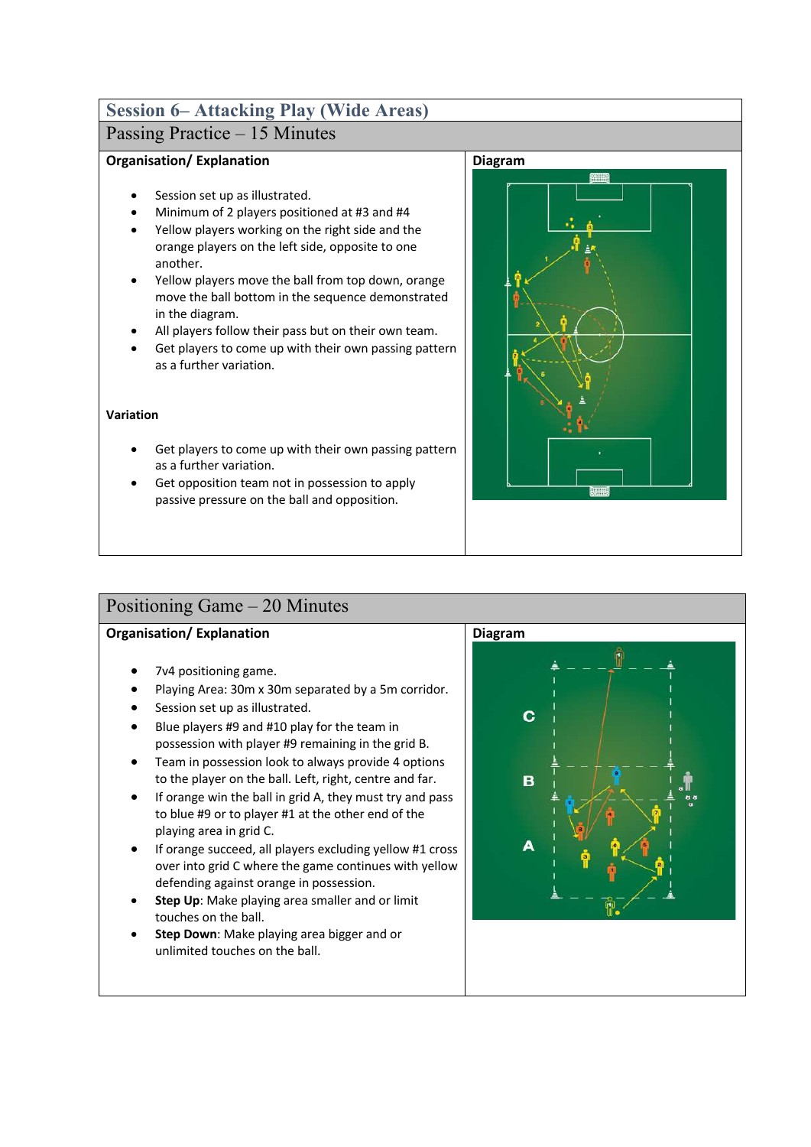## **Session 6– Attacking Play (Wide Areas)**

## Passing Practice – 15 Minutes

### **Organisation/ Explanation**

- Session set up as illustrated.
- Minimum of 2 players positioned at #3 and #4
- Yellow players working on the right side and the orange players on the left side, opposite to one another.
- Yellow players move the ball from top down, orange move the ball bottom in the sequence demonstrated in the diagram.
- All players follow their pass but on their own team.
- Get players to come up with their own passing pattern as a further variation.

### **Variation**

- Get players to come up with their own passing pattern as a further variation.
- Get opposition team not in possession to apply passive pressure on the ball and opposition.



## Positioning Game – 20 Minutes

- 7v4 positioning game.
- Playing Area: 30m x 30m separated by a 5m corridor.
- Session set up as illustrated.
- Blue players #9 and #10 play for the team in possession with player #9 remaining in the grid B.
- Team in possession look to always provide 4 options to the player on the ball. Left, right, centre and far.
- If orange win the ball in grid A, they must try and pass to blue #9 or to player #1 at the other end of the playing area in grid C.
- If orange succeed, all players excluding yellow #1 cross over into grid C where the game continues with yellow defending against orange in possession.
- **Step Up**: Make playing area smaller and or limit touches on the ball.
- **Step Down**: Make playing area bigger and or unlimited touches on the ball.

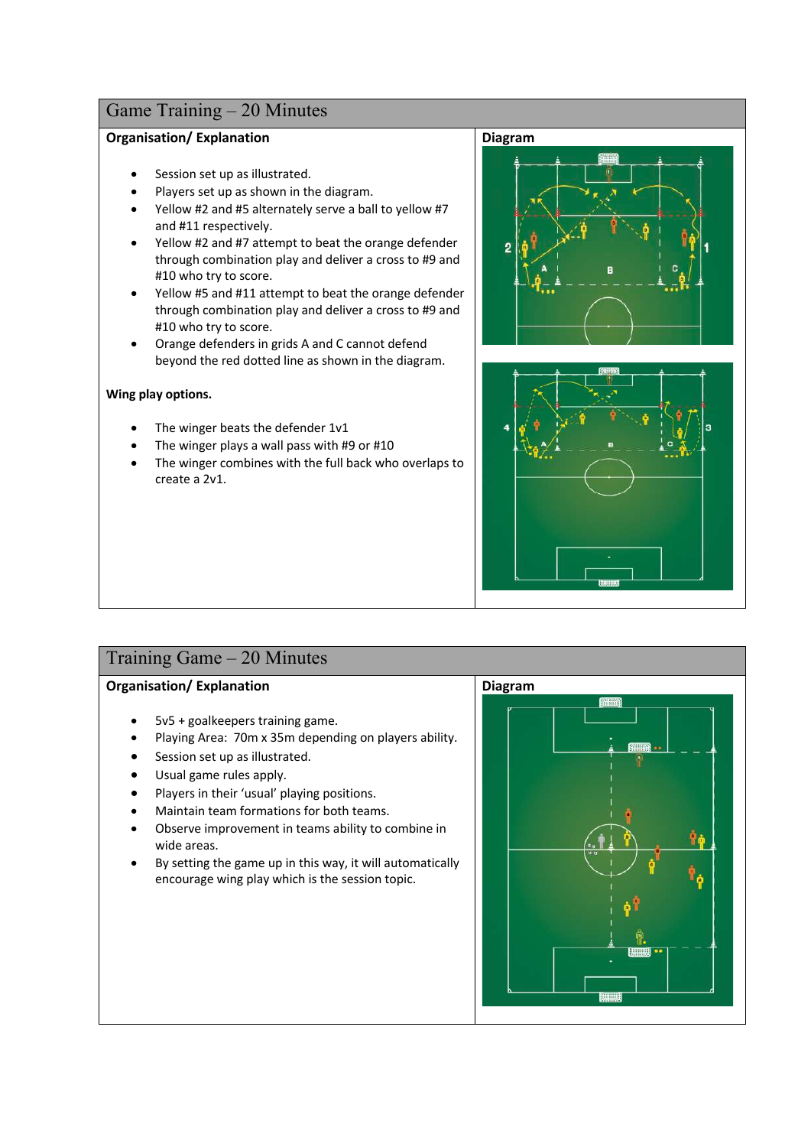### **Organisation/ Explanation**

- Session set up as illustrated.
- Players set up as shown in the diagram.
- Yellow #2 and #5 alternately serve a ball to yellow #7 and #11 respectively.
- Yellow #2 and #7 attempt to beat the orange defender through combination play and deliver a cross to #9 and #10 who try to score.
- Yellow #5 and #11 attempt to beat the orange defender through combination play and deliver a cross to #9 and #10 who try to score.
- Orange defenders in grids A and C cannot defend beyond the red dotted line as shown in the diagram.

#### **Wing play options.**

- The winger beats the defender 1v1
- The winger plays a wall pass with #9 or #10
- The winger combines with the full back who overlaps to create a 2v1.





## Training Game – 20 Minutes

- 5v5 + goalkeepers training game.
- Playing Area: 70m x 35m depending on players ability.
- Session set up as illustrated.
- Usual game rules apply.
- Players in their 'usual' playing positions.
- Maintain team formations for both teams.
- Observe improvement in teams ability to combine in wide areas.
- By setting the game up in this way, it will automatically encourage wing play which is the session topic.

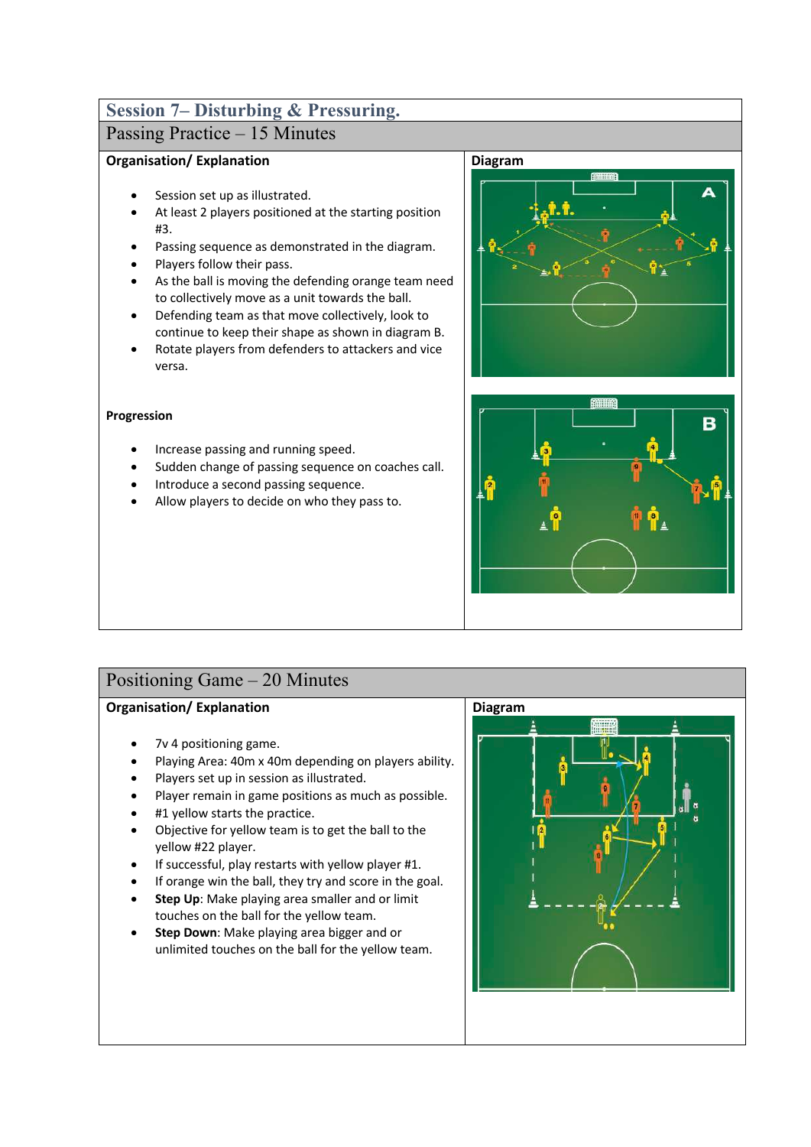# **Session 7– Disturbing & Pressuring.**

## Passing Practice – 15 Minutes

### **Organisation/ Explanation**

- Session set up as illustrated.
- At least 2 players positioned at the starting position #3.
- Passing sequence as demonstrated in the diagram.
- Players follow their pass.
- As the ball is moving the defending orange team need to collectively move as a unit towards the ball.
- Defending team as that move collectively, look to continue to keep their shape as shown in diagram B.
- Rotate players from defenders to attackers and vice versa.

### **Progression**

- Increase passing and running speed.
- Sudden change of passing sequence on coaches call.
- Introduce a second passing sequence.
- Allow players to decide on who they pass to.





## Positioning Game – 20 Minutes

- 7v 4 positioning game.
- Playing Area: 40m x 40m depending on players ability.
- Players set up in session as illustrated.
- Player remain in game positions as much as possible.
- #1 yellow starts the practice.
- Objective for yellow team is to get the ball to the yellow #22 player.
- If successful, play restarts with yellow player #1.
- If orange win the ball, they try and score in the goal.
- **Step Up**: Make playing area smaller and or limit touches on the ball for the yellow team.
- **Step Down**: Make playing area bigger and or unlimited touches on the ball for the yellow team.

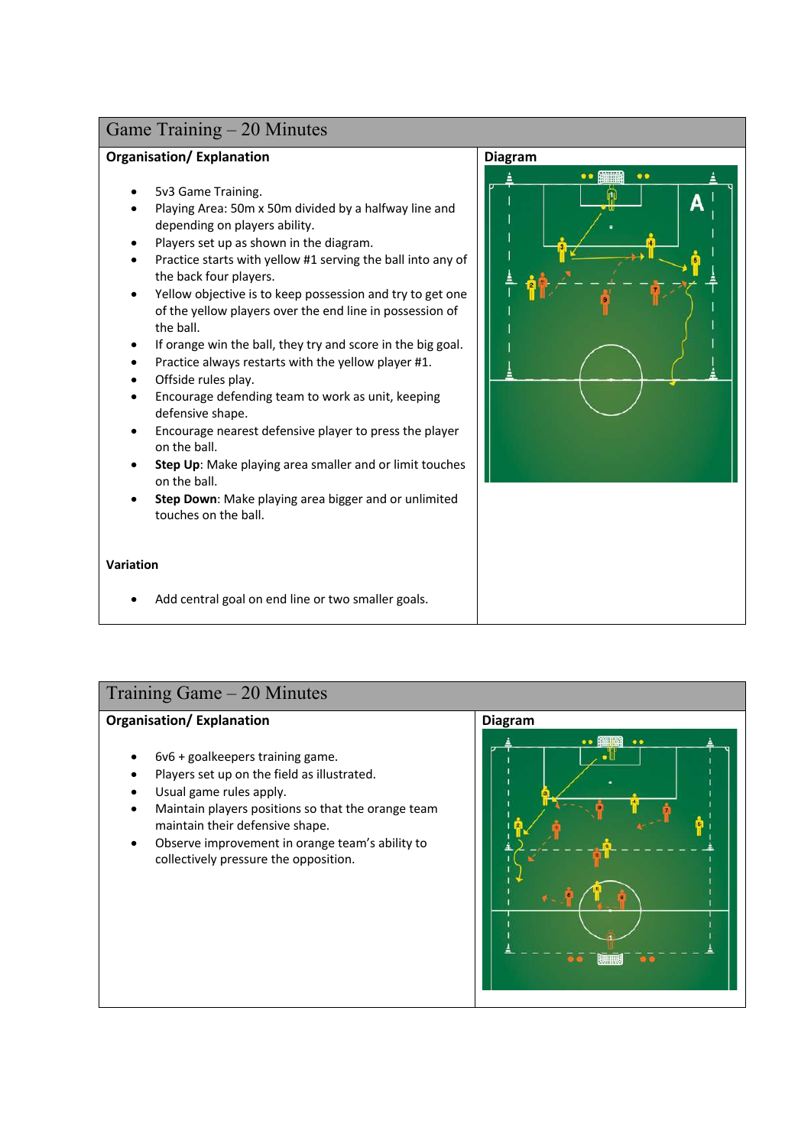### **Organisation/ Explanation**

- 5v3 Game Training.
- Playing Area: 50m x 50m divided by a halfway line and depending on players ability.
- Players set up as shown in the diagram.
- Practice starts with yellow #1 serving the ball into any of the back four players.
- Yellow objective is to keep possession and try to get one of the yellow players over the end line in possession of the ball.
- If orange win the ball, they try and score in the big goal.
- Practice always restarts with the yellow player #1.
- Offside rules play.
- Encourage defending team to work as unit, keeping defensive shape.
- Encourage nearest defensive player to press the player on the ball.
- **Step Up**: Make playing area smaller and or limit touches on the ball.
- **Step Down**: Make playing area bigger and or unlimited touches on the ball.

### **Variation**

• Add central goal on end line or two smaller goals.



# Training Game – 20 Minutes

- 6v6 + goalkeepers training game.
- Players set up on the field as illustrated.
- Usual game rules apply.
- Maintain players positions so that the orange team maintain their defensive shape.
- Observe improvement in orange team's ability to collectively pressure the opposition.

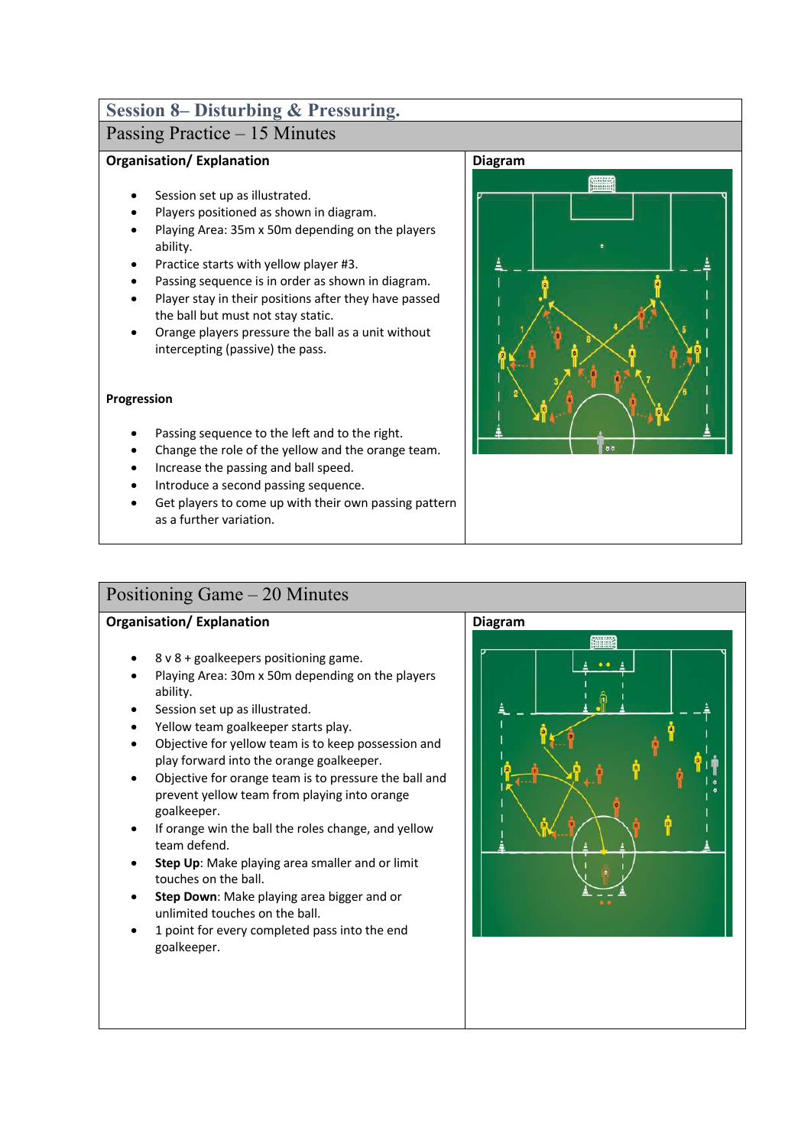# **Session 8– Disturbing & Pressuring.**

## Passing Practice – 15 Minutes

### **Organisation/ Explanation**

- Session set up as illustrated.
- Players positioned as shown in diagram.
- Playing Area: 35m x 50m depending on the players ability.
- Practice starts with yellow player #3.
- Passing sequence is in order as shown in diagram.
- Player stay in their positions after they have passed the ball but must not stay static.
- Orange players pressure the ball as a unit without intercepting (passive) the pass.

#### **Progression**

- Passing sequence to the left and to the right.
- Change the role of the yellow and the orange team.
- Increase the passing and ball speed.
- Introduce a second passing sequence.
- Get players to come up with their own passing pattern as a further variation.



## Positioning Game – 20 Minutes

- 8 v 8 + goalkeepers positioning game.
- Playing Area: 30m x 50m depending on the players ability.
- Session set up as illustrated.
- Yellow team goalkeeper starts play.
- Objective for yellow team is to keep possession and play forward into the orange goalkeeper.
- Objective for orange team is to pressure the ball and prevent yellow team from playing into orange goalkeeper.
- If orange win the ball the roles change, and yellow team defend.
- **Step Up**: Make playing area smaller and or limit touches on the ball.
- **Step Down**: Make playing area bigger and or unlimited touches on the ball.
- 1 point for every completed pass into the end goalkeeper.

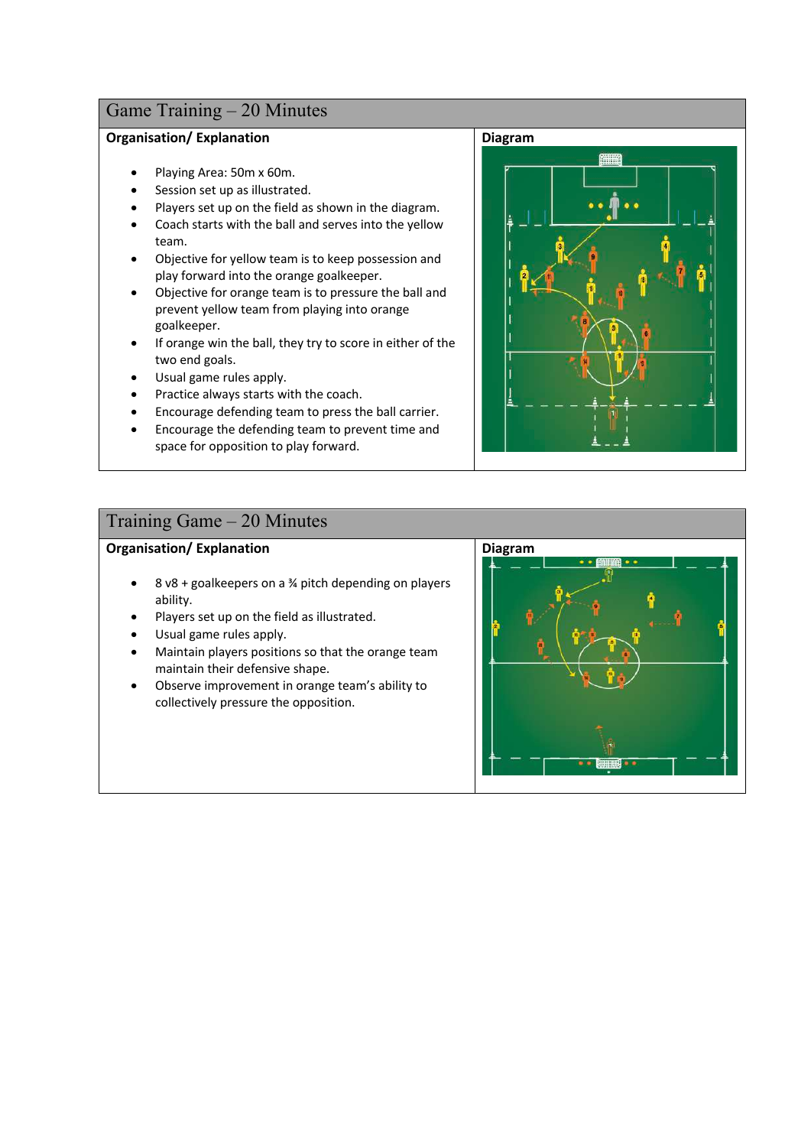### **Organisation/ Explanation**

- Playing Area: 50m x 60m.
- Session set up as illustrated.
- Players set up on the field as shown in the diagram.
- Coach starts with the ball and serves into the yellow team.
- Objective for yellow team is to keep possession and play forward into the orange goalkeeper.
- Objective for orange team is to pressure the ball and prevent yellow team from playing into orange goalkeeper.
- If orange win the ball, they try to score in either of the two end goals.
- Usual game rules apply.
- Practice always starts with the coach.
- Encourage defending team to press the ball carrier.
- Encourage the defending team to prevent time and space for opposition to play forward.

### Training Game – 20 Minutes

### **Organisation/ Explanation**

- 8 v8 + goalkeepers on a ¾ pitch depending on players ability.
- Players set up on the field as illustrated.
- Usual game rules apply.
- Maintain players positions so that the orange team maintain their defensive shape.
- Observe improvement in orange team's ability to collectively pressure the opposition.



# **Diagram**

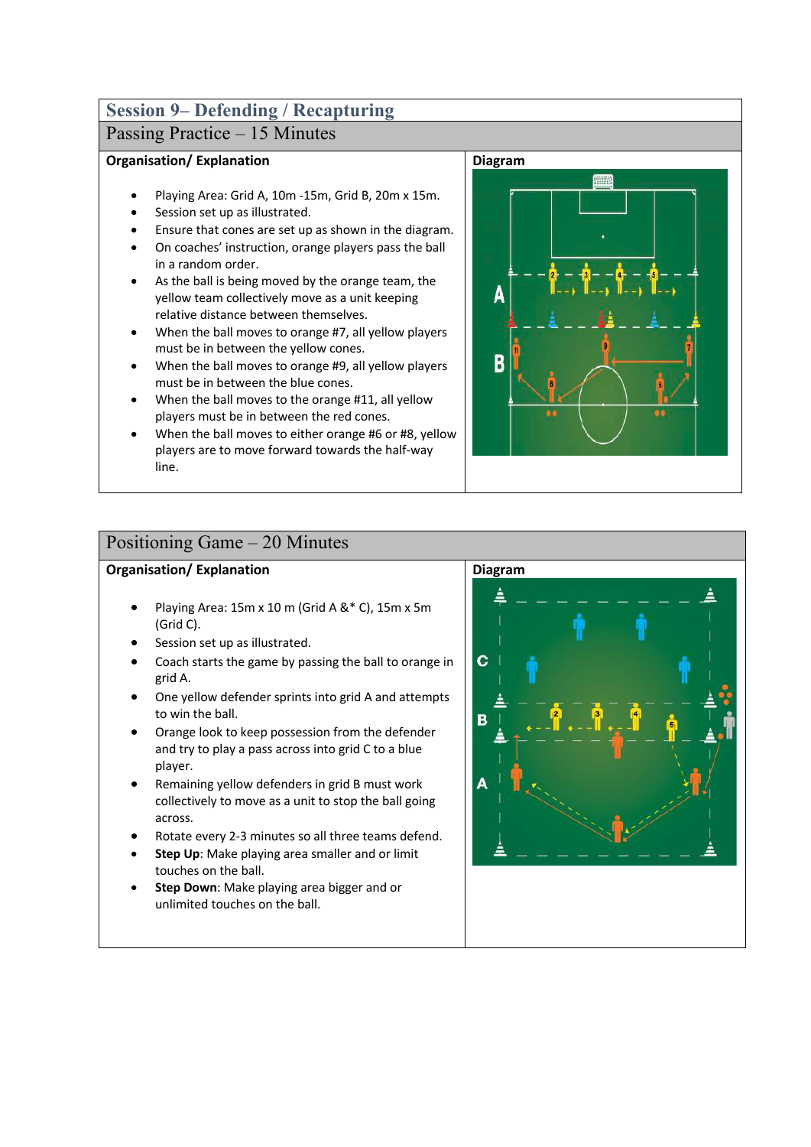# **Session 9– Defending / Recapturing**

## Passing Practice – 15 Minutes

### **Organisation/ Explanation**

- Playing Area: Grid A, 10m -15m, Grid B, 20m x 15m.
- Session set up as illustrated.
- Ensure that cones are set up as shown in the diagram.
- On coaches' instruction, orange players pass the ball in a random order.
- As the ball is being moved by the orange team, the yellow team collectively move as a unit keeping relative distance between themselves.
- When the ball moves to orange #7, all yellow players must be in between the yellow cones.
- When the ball moves to orange #9, all yellow players must be in between the blue cones.
- When the ball moves to the orange #11, all yellow players must be in between the red cones.
- When the ball moves to either orange #6 or #8, yellow players are to move forward towards the half-way line.



## Positioning Game – 20 Minutes

- Playing Area: 15m x 10 m (Grid A &\* C), 15m x 5m (Grid C).
- Session set up as illustrated.
- Coach starts the game by passing the ball to orange in grid A.
- One yellow defender sprints into grid A and attempts to win the ball.
- Orange look to keep possession from the defender and try to play a pass across into grid C to a blue player.
- Remaining yellow defenders in grid B must work collectively to move as a unit to stop the ball going across.
- Rotate every 2-3 minutes so all three teams defend.
- **Step Up**: Make playing area smaller and or limit touches on the ball.
- **Step Down**: Make playing area bigger and or unlimited touches on the ball.

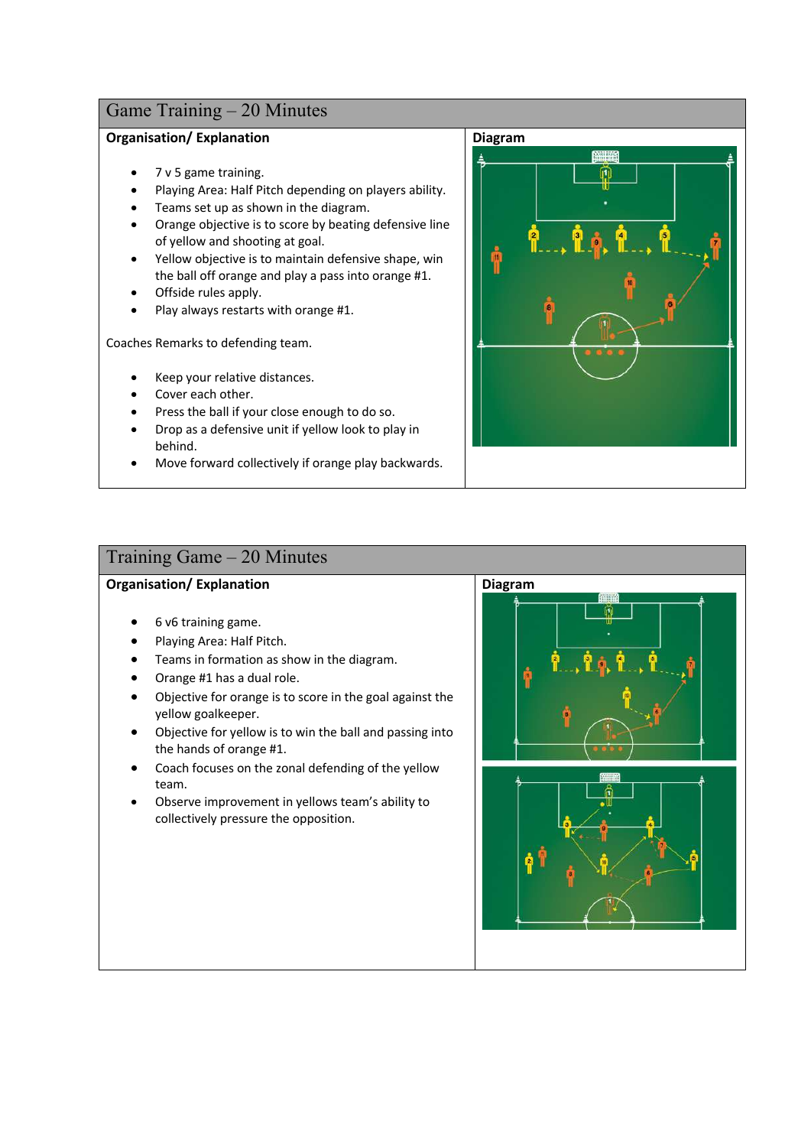### **Organisation/ Explanation**

- 7 v 5 game training.
- Playing Area: Half Pitch depending on players ability.
- Teams set up as shown in the diagram.
- Orange objective is to score by beating defensive line of yellow and shooting at goal.
- Yellow objective is to maintain defensive shape, win the ball off orange and play a pass into orange #1.
- Offside rules apply.
- Play always restarts with orange #1.

Coaches Remarks to defending team.

- Keep your relative distances.
- Cover each other.
- Press the ball if your close enough to do so.
- Drop as a defensive unit if yellow look to play in behind.
- Move forward collectively if orange play backwards.



### Training Game – 20 Minutes

- 6 v6 training game.
- Playing Area: Half Pitch.
- Teams in formation as show in the diagram.
- Orange #1 has a dual role.
- Objective for orange is to score in the goal against the yellow goalkeeper.
- Objective for yellow is to win the ball and passing into the hands of orange #1.
- Coach focuses on the zonal defending of the yellow team.
- Observe improvement in yellows team's ability to collectively pressure the opposition.

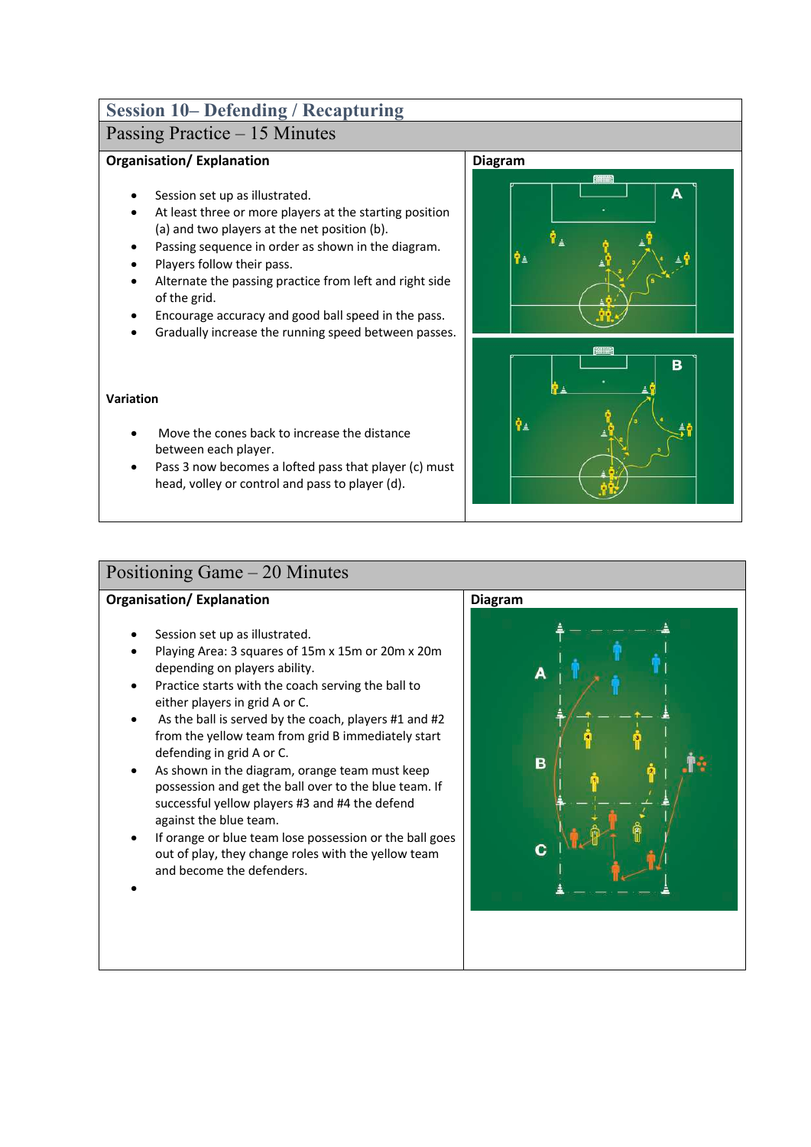# **Session 10– Defending / Recapturing**

## Passing Practice – 15 Minutes

### **Organisation/ Explanation**

- Session set up as illustrated.
- At least three or more players at the starting position (a) and two players at the net position (b).
- Passing sequence in order as shown in the diagram.
- Players follow their pass.
- Alternate the passing practice from left and right side of the grid.
- Encourage accuracy and good ball speed in the pass.
- Gradually increase the running speed between passes.

#### **Variation**

- Move the cones back to increase the distance between each player.
- Pass 3 now becomes a lofted pass that player (c) must head, volley or control and pass to player (d).



## Positioning Game – 20 Minutes

### **Organisation/ Explanation**

- Session set up as illustrated.
- Playing Area: 3 squares of 15m x 15m or 20m x 20m depending on players ability.
- Practice starts with the coach serving the ball to either players in grid A or C.
- As the ball is served by the coach, players #1 and #2 from the yellow team from grid B immediately start defending in grid A or C.
- As shown in the diagram, orange team must keep possession and get the ball over to the blue team. If successful yellow players #3 and #4 the defend against the blue team.
- If orange or blue team lose possession or the ball goes out of play, they change roles with the yellow team and become the defenders.



•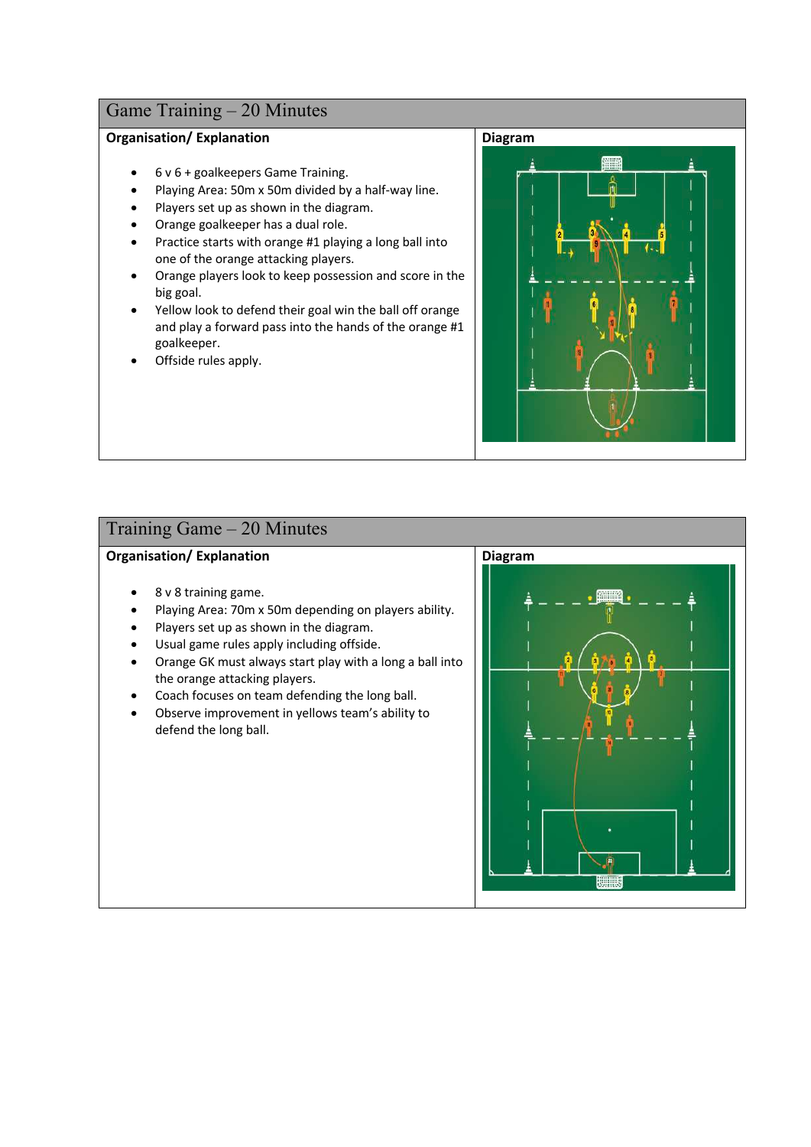### **Organisation/ Explanation**

- 6 v 6 + goalkeepers Game Training.
- Playing Area: 50m x 50m divided by a half-way line.
- Players set up as shown in the diagram.
- Orange goalkeeper has a dual role.
- Practice starts with orange #1 playing a long ball into one of the orange attacking players.
- Orange players look to keep possession and score in the big goal.
- Yellow look to defend their goal win the ball off orange and play a forward pass into the hands of the orange #1 goalkeeper.
- Offside rules apply.



### Training Game – 20 Minutes

- 8 v 8 training game.
- Playing Area: 70m x 50m depending on players ability.
- Players set up as shown in the diagram.
- Usual game rules apply including offside.
- Orange GK must always start play with a long a ball into the orange attacking players.
- Coach focuses on team defending the long ball.
- Observe improvement in yellows team's ability to defend the long ball.

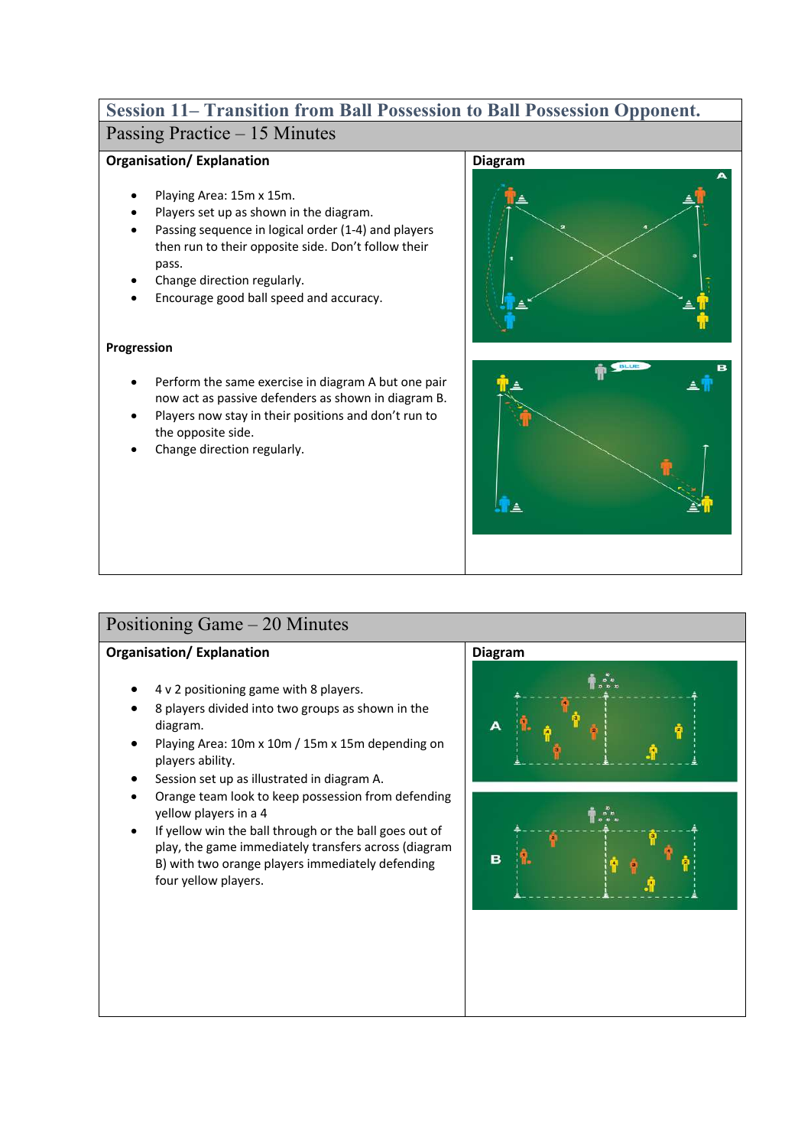## **Session 11– Transition from Ball Possession to Ball Possession Opponent.**  Passing Practice – 15 Minutes

### **Organisation/ Explanation**

- Playing Area: 15m x 15m.
- Players set up as shown in the diagram.
- Passing sequence in logical order (1-4) and players then run to their opposite side. Don't follow their pass.
- Change direction regularly.
- Encourage good ball speed and accuracy.

### **Progression**

- Perform the same exercise in diagram A but one pair now act as passive defenders as shown in diagram B.
- Players now stay in their positions and don't run to the opposite side.
- Change direction regularly.





## Positioning Game – 20 Minutes

- 4 v 2 positioning game with 8 players.
- 8 players divided into two groups as shown in the diagram.
- Playing Area: 10m x 10m / 15m x 15m depending on players ability.
- Session set up as illustrated in diagram A.
- Orange team look to keep possession from defending yellow players in a 4
- If yellow win the ball through or the ball goes out of play, the game immediately transfers across (diagram B) with two orange players immediately defending four yellow players.



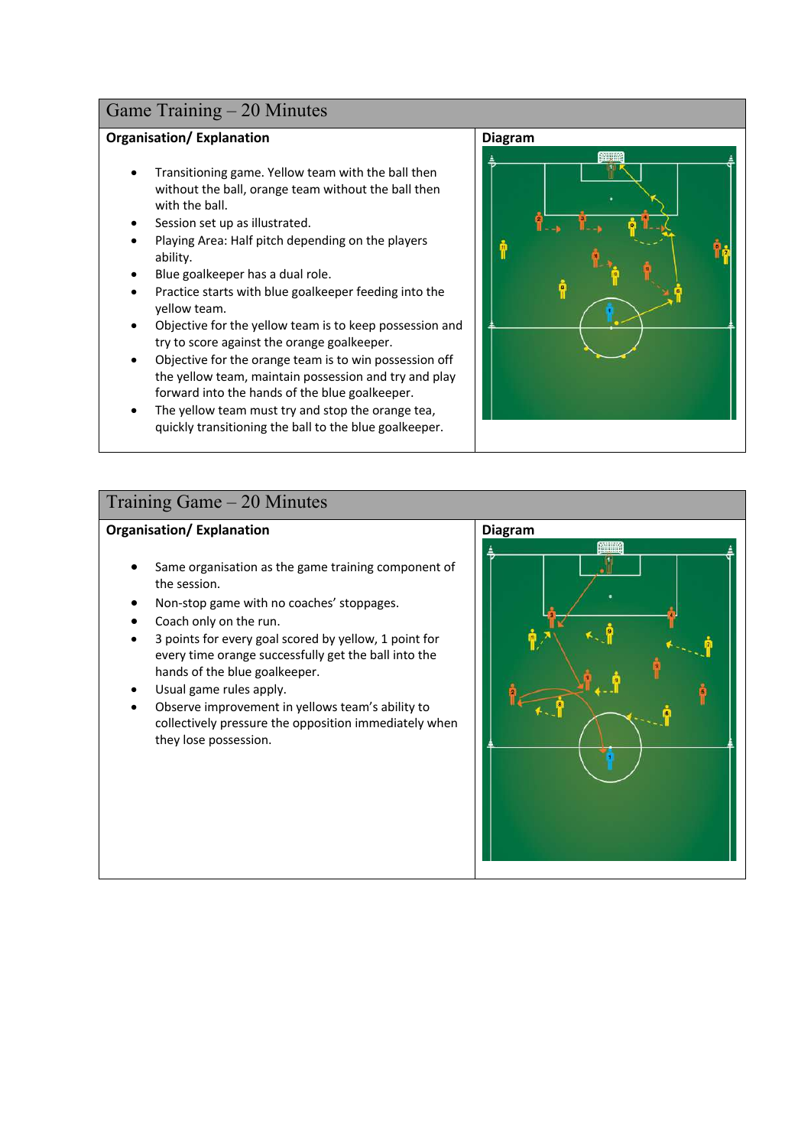### **Organisation/ Explanation**

- Transitioning game. Yellow team with the ball then without the ball, orange team without the ball then with the ball.
- Session set up as illustrated.
- Playing Area: Half pitch depending on the players ability.
- Blue goalkeeper has a dual role.
- Practice starts with blue goalkeeper feeding into the yellow team.
- Objective for the yellow team is to keep possession and try to score against the orange goalkeeper.
- Objective for the orange team is to win possession off the yellow team, maintain possession and try and play forward into the hands of the blue goalkeeper.
- The yellow team must try and stop the orange tea, quickly transitioning the ball to the blue goalkeeper.



### Training Game – 20 Minutes

- Same organisation as the game training component of the session.
- Non-stop game with no coaches' stoppages.
- Coach only on the run.
- 3 points for every goal scored by yellow, 1 point for every time orange successfully get the ball into the hands of the blue goalkeeper.
- Usual game rules apply.
- Observe improvement in yellows team's ability to collectively pressure the opposition immediately when they lose possession.

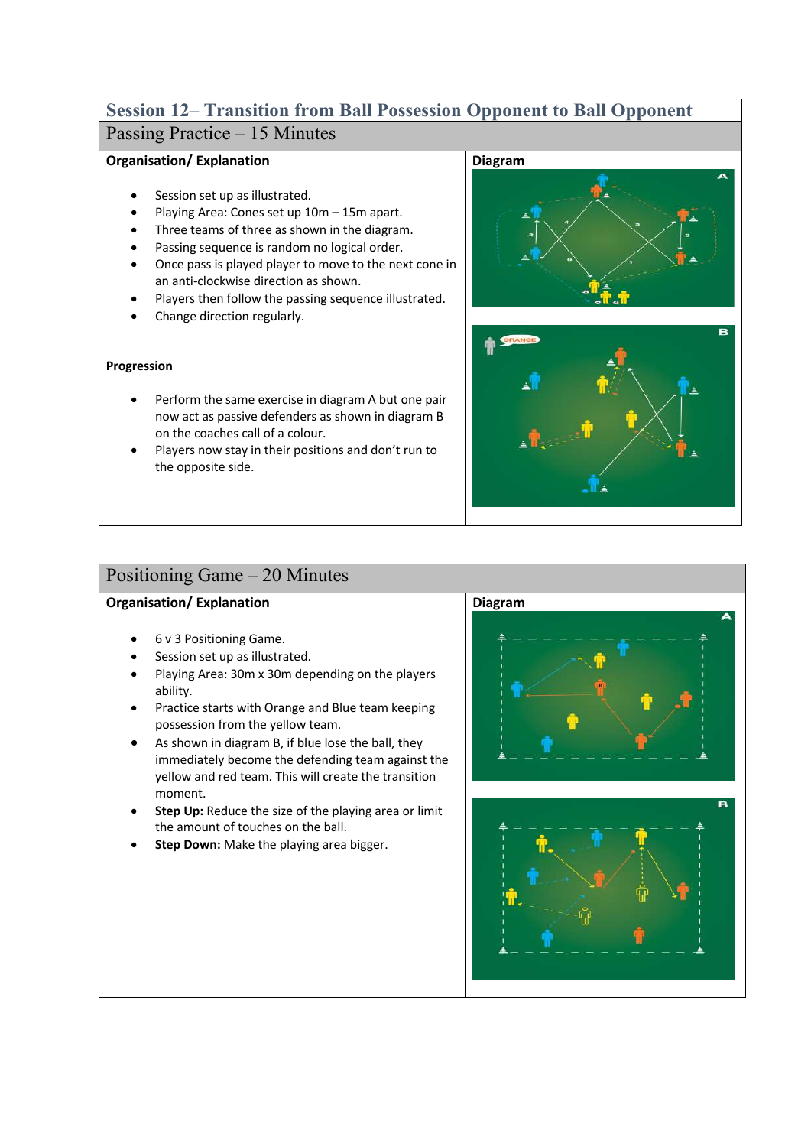## **Session 12– Transition from Ball Possession Opponent to Ball Opponent** Passing Practice – 15 Minutes

### **Organisation/ Explanation**

- Session set up as illustrated.
- Playing Area: Cones set up 10m 15m apart.
- Three teams of three as shown in the diagram.
- Passing sequence is random no logical order.
- Once pass is played player to move to the next cone in an anti-clockwise direction as shown.
- Players then follow the passing sequence illustrated.
- Change direction regularly.

### **Progression**

- Perform the same exercise in diagram A but one pair now act as passive defenders as shown in diagram B on the coaches call of a colour.
- Players now stay in their positions and don't run to the opposite side.





## Positioning Game – 20 Minutes

- 6 v 3 Positioning Game.
- Session set up as illustrated.
- Playing Area: 30m x 30m depending on the players ability.
- Practice starts with Orange and Blue team keeping possession from the yellow team.
- As shown in diagram B, if blue lose the ball, they immediately become the defending team against the yellow and red team. This will create the transition moment.
- **Step Up:** Reduce the size of the playing area or limit the amount of touches on the ball.
- **Step Down:** Make the playing area bigger.